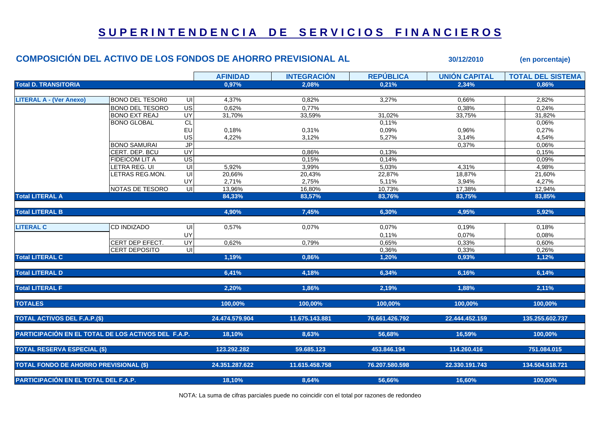## **S U P E R I N T E N D E N C I A D E S E R V I C I O S F I N A N C I E R O S**

| <b>COMPOSICIÓN DEL ACTIVO DE LOS FONDOS DE AHORRO PREVISIONAL AL</b> |                        |                          |                 |                    |                  | 30/12/2010           | (en porcentaje)          |
|----------------------------------------------------------------------|------------------------|--------------------------|-----------------|--------------------|------------------|----------------------|--------------------------|
|                                                                      |                        |                          | <b>AFINIDAD</b> | <b>INTEGRACIÓN</b> | <b>REPÚBLICA</b> | <b>UNIÓN CAPITAL</b> | <b>TOTAL DEL SISTEMA</b> |
| <b>Total D. TRANSITORIA</b>                                          |                        |                          | 0,97%           | 2,08%              | 0,21%            | 2,34%                | 0,86%                    |
|                                                                      |                        |                          |                 |                    |                  |                      |                          |
| <b>LITERAL A - (Ver Anexo)</b>                                       | <b>BONO DEL TESORO</b> | UI                       | 4,37%           | 0,82%              | 3,27%            | 0,66%                | 2,82%                    |
|                                                                      | <b>BONO DEL TESORO</b> | US                       | 0,62%           | 0,77%              |                  | 0,38%                | 0,24%                    |
|                                                                      | <b>BONO EXT REAJ</b>   | UY <sub></sub>           | 31,70%          | 33,59%             | 31,02%           | 33,75%               | 31,82%                   |
|                                                                      | <b>BONO GLOBAL</b>     | CL                       |                 |                    | 0,11%            |                      | 0,06%                    |
|                                                                      |                        | EU                       | 0,18%           | 0,31%              | 0,09%            | 0,96%                | 0,27%                    |
|                                                                      |                        | US                       | 4,22%           | 3,12%              | 5,27%            | 3,14%                | 4,54%                    |
|                                                                      | <b>BONO SAMURAI</b>    | <b>JP</b>                |                 |                    |                  | 0,37%                | 0,06%                    |
|                                                                      | CERT. DEP. BCU         | <b>UY</b>                |                 | 0,86%              | 0,13%            |                      | 0,15%                    |
|                                                                      | FIDEICOM LIT A         | $\overline{\mathsf{US}}$ |                 | 0,15%              | 0,14%            |                      | 0,09%                    |
|                                                                      | LETRA REG. UI          | $\overline{U}$           | 5,92%           | 3,99%              | 5,03%            | 4,31%                | 4,98%                    |
|                                                                      | LETRAS REG.MON.        | UI                       | 20,66%          | 20,43%             | 22,87%           | 18,87%               | 21,60%                   |
|                                                                      |                        | UY                       | 2,71%           | 2,75%              | 5,11%            | 3,94%                | 4,27%                    |
|                                                                      | NOTAS DE TESORO        | $\overline{\mathsf{u}}$  | 13,96%          | 16,80%             | 10,73%           | 17,38%               | 12,94%                   |
| <b>Total LITERAL A</b>                                               |                        |                          | 84,33%          | 83,57%             | 83,76%           | 83,75%               | 83,85%                   |
| <b>Total LITERAL B</b>                                               |                        |                          | 4,90%           | 7,45%              | 6,30%            | 4,95%                | 5,92%                    |
| <b>LITERAL C</b>                                                     | <b>CD INDIZADO</b>     | UI                       | 0,57%           | 0,07%              | 0,07%            | 0,19%                | 0,18%                    |
|                                                                      |                        | UY                       |                 |                    | 0,11%            | 0,07%                | 0,08%                    |
|                                                                      | CERT DEP EFECT.        | UY                       | 0,62%           | 0,79%              | 0,65%            | 0,33%                | 0,60%                    |
|                                                                      | CERT DEPOSITO          | UI                       |                 |                    |                  |                      |                          |
| <b>Total LITERAL C</b>                                               |                        |                          | 1,19%           | 0,86%              | 0,36%<br>1,20%   | 0,33%<br>0,93%       | 0,26%<br>1,12%           |
|                                                                      |                        |                          |                 |                    |                  |                      |                          |
| <b>Total LITERAL D</b>                                               |                        |                          | 6,41%           | 4,18%              | 6,34%            | 6,16%                | 6,14%                    |
| <b>Total LITERAL F</b>                                               |                        |                          | 2,20%           | 1,86%              | 2,19%            | 1,88%                | 2,11%                    |
| <b>TOTALES</b>                                                       |                        |                          | 100,00%         | 100,00%            | 100,00%          | 100,00%              | 100,00%                  |
| <b>TOTAL ACTIVOS DEL F.A.P.(\$)</b>                                  |                        |                          | 24.474.579.904  | 11.675.143.881     | 76.661.426.792   | 22.444.452.159       | 135.255.602.737          |
|                                                                      |                        |                          |                 |                    |                  |                      |                          |
| PARTICIPACIÓN EN EL TOTAL DE LOS ACTIVOS DEL F.A.P.                  |                        |                          | 18,10%          | 8,63%              | 56,68%           | 16,59%               | 100,00%                  |
| <b>TOTAL RESERVA ESPECIAL (\$)</b>                                   |                        |                          | 123.292.282     | 59.685.123         | 453.846.194      | 114.260.416          | 751.084.015              |
| <b>TOTAL FONDO DE AHORRO PREVISIONAL (\$)</b>                        |                        |                          | 24.351.287.622  | 11.615.458.758     | 76.207.580.598   | 22.330.191.743       | 134.504.518.721          |
| PARTICIPACIÓN EN EL TOTAL DEL F.A.P.                                 |                        |                          | 18,10%          | 8,64%              | 56,66%           | 16,60%               | 100,00%                  |
|                                                                      |                        |                          |                 |                    |                  |                      |                          |